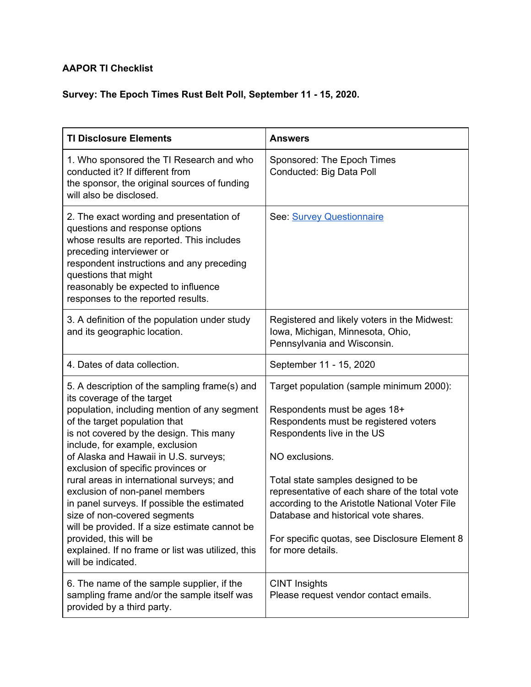## **AAPOR TI Checklist**

## **Survey: The Epoch Times Rust Belt Poll, September 11 - 15, 2020.**

| <b>TI Disclosure Elements</b>                                                                                                                                                                                                                                                                                                                                                                                                                                                                                                                                                                                                                  | <b>Answers</b>                                                                                                                                                                                                                                                                                                                                                                                                            |
|------------------------------------------------------------------------------------------------------------------------------------------------------------------------------------------------------------------------------------------------------------------------------------------------------------------------------------------------------------------------------------------------------------------------------------------------------------------------------------------------------------------------------------------------------------------------------------------------------------------------------------------------|---------------------------------------------------------------------------------------------------------------------------------------------------------------------------------------------------------------------------------------------------------------------------------------------------------------------------------------------------------------------------------------------------------------------------|
| 1. Who sponsored the TI Research and who<br>conducted it? If different from<br>the sponsor, the original sources of funding<br>will also be disclosed.                                                                                                                                                                                                                                                                                                                                                                                                                                                                                         | Sponsored: The Epoch Times<br>Conducted: Big Data Poll                                                                                                                                                                                                                                                                                                                                                                    |
| 2. The exact wording and presentation of<br>questions and response options<br>whose results are reported. This includes<br>preceding interviewer or<br>respondent instructions and any preceding<br>questions that might<br>reasonably be expected to influence<br>responses to the reported results.                                                                                                                                                                                                                                                                                                                                          | See: Survey Questionnaire                                                                                                                                                                                                                                                                                                                                                                                                 |
| 3. A definition of the population under study<br>and its geographic location.                                                                                                                                                                                                                                                                                                                                                                                                                                                                                                                                                                  | Registered and likely voters in the Midwest:<br>Iowa, Michigan, Minnesota, Ohio,<br>Pennsylvania and Wisconsin.                                                                                                                                                                                                                                                                                                           |
| 4. Dates of data collection.                                                                                                                                                                                                                                                                                                                                                                                                                                                                                                                                                                                                                   | September 11 - 15, 2020                                                                                                                                                                                                                                                                                                                                                                                                   |
| 5. A description of the sampling frame(s) and<br>its coverage of the target<br>population, including mention of any segment<br>of the target population that<br>is not covered by the design. This many<br>include, for example, exclusion<br>of Alaska and Hawaii in U.S. surveys;<br>exclusion of specific provinces or<br>rural areas in international surveys; and<br>exclusion of non-panel members<br>in panel surveys. If possible the estimated<br>size of non-covered segments<br>will be provided. If a size estimate cannot be<br>provided, this will be<br>explained. If no frame or list was utilized, this<br>will be indicated. | Target population (sample minimum 2000):<br>Respondents must be ages 18+<br>Respondents must be registered voters<br>Respondents live in the US<br>NO exclusions.<br>Total state samples designed to be<br>representative of each share of the total vote<br>according to the Aristotle National Voter File<br>Database and historical vote shares.<br>For specific quotas, see Disclosure Element 8<br>for more details. |
| 6. The name of the sample supplier, if the<br>sampling frame and/or the sample itself was<br>provided by a third party.                                                                                                                                                                                                                                                                                                                                                                                                                                                                                                                        | <b>CINT Insights</b><br>Please request vendor contact emails.                                                                                                                                                                                                                                                                                                                                                             |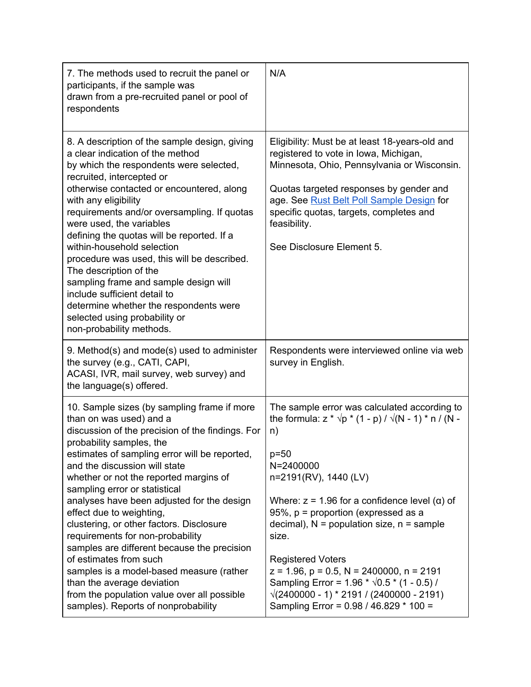| 7. The methods used to recruit the panel or<br>participants, if the sample was<br>drawn from a pre-recruited panel or pool of<br>respondents                                                                                                                                                                                                                                                                                                                                                                                                                                                                                                                                                                           | N/A                                                                                                                                                                                                                                                                                                                                                                                                                                                                                                                                                                           |
|------------------------------------------------------------------------------------------------------------------------------------------------------------------------------------------------------------------------------------------------------------------------------------------------------------------------------------------------------------------------------------------------------------------------------------------------------------------------------------------------------------------------------------------------------------------------------------------------------------------------------------------------------------------------------------------------------------------------|-------------------------------------------------------------------------------------------------------------------------------------------------------------------------------------------------------------------------------------------------------------------------------------------------------------------------------------------------------------------------------------------------------------------------------------------------------------------------------------------------------------------------------------------------------------------------------|
| 8. A description of the sample design, giving<br>a clear indication of the method<br>by which the respondents were selected,<br>recruited, intercepted or<br>otherwise contacted or encountered, along<br>with any eligibility<br>requirements and/or oversampling. If quotas<br>were used, the variables<br>defining the quotas will be reported. If a<br>within-household selection<br>procedure was used, this will be described.<br>The description of the<br>sampling frame and sample design will<br>include sufficient detail to<br>determine whether the respondents were<br>selected using probability or<br>non-probability methods.                                                                         | Eligibility: Must be at least 18-years-old and<br>registered to vote in Iowa, Michigan,<br>Minnesota, Ohio, Pennsylvania or Wisconsin.<br>Quotas targeted responses by gender and<br>age. See <b>Rust Belt Poll Sample Design</b> for<br>specific quotas, targets, completes and<br>feasibility.<br>See Disclosure Element 5.                                                                                                                                                                                                                                                 |
| 9. Method(s) and mode(s) used to administer<br>the survey (e.g., CATI, CAPI,<br>ACASI, IVR, mail survey, web survey) and<br>the language(s) offered.                                                                                                                                                                                                                                                                                                                                                                                                                                                                                                                                                                   | Respondents were interviewed online via web<br>survey in English.                                                                                                                                                                                                                                                                                                                                                                                                                                                                                                             |
| 10. Sample sizes (by sampling frame if more<br>than on was used) and a<br>discussion of the precision of the findings. For<br>probability samples, the<br>estimates of sampling error will be reported,<br>and the discussion will state<br>whether or not the reported margins of<br>sampling error or statistical<br>analyses have been adjusted for the design<br>effect due to weighting,<br>clustering, or other factors. Disclosure<br>requirements for non-probability<br>samples are different because the precision<br>of estimates from such<br>samples is a model-based measure (rather<br>than the average deviation<br>from the population value over all possible<br>samples). Reports of nonprobability | The sample error was calculated according to<br>the formula: $z * \sqrt{p} * (1 - p) / \sqrt{(N - 1)} * n / (N -$<br>n)<br>$p=50$<br>N=2400000<br>n=2191(RV), 1440 (LV)<br>Where: $z = 1.96$ for a confidence level ( $\alpha$ ) of<br>95%, $p =$ proportion (expressed as a<br>decimal), $N =$ population size, $n =$ sample<br>size.<br><b>Registered Voters</b><br>$z = 1.96$ , $p = 0.5$ , $N = 2400000$ , $n = 2191$<br>Sampling Error = $1.96 * \sqrt{0.5} * (1 - 0.5)$ /<br>$\sqrt{(2400000 - 1)}$ * 2191 / (2400000 - 2191)<br>Sampling Error = 0.98 / 46.829 * 100 = |